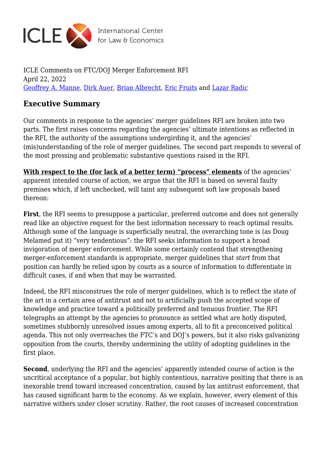

International Center<br>for Law & Economics

ICLE Comments on FTC/DOJ Merger Enforcement RFI April 22, 2022 [Geoffrey A. Manne,](https://laweconcenter.org/author/geoffrey-manne/) [Dirk Auer,](https://laweconcenter.org/author/dirkauer/) [Brian Albrecht](https://laweconcenter.org/author/balbrecht/), [Eric Fruits](https://laweconcenter.org/author/ericfruits/) and [Lazar Radic](https://laweconcenter.org/author/lazarradic/)

## **Executive Summary**

Our comments in response to the agencies' merger guidelines RFI are broken into two parts. The first raises concerns regarding the agencies' ultimate intentions as reflected in the RFI, the authority of the assumptions undergirding it, and the agencies' (mis)understanding of the role of merger guidelines. The second part responds to several of the most pressing and problematic substantive questions raised in the RFI.

**With respect to the (for lack of a better term) "process" elements** of the agencies' apparent intended course of action, we argue that the RFI is based on several faulty premises which, if left unchecked, will taint any subsequent soft law proposals based thereon:

**First**, the RFI seems to presuppose a particular, preferred outcome and does not generally read like an objective request for the best information necessary to reach optimal results. Although some of the language is superficially neutral, the overarching tone is (as Doug Melamed put it) "very tendentious": the RFI seeks information to support a broad invigoration of merger enforcement. While some certainly contend that strengthening merger-enforcement standards is appropriate, merger guidelines that *start* from that position can hardly be relied upon by courts as a source of information to differentiate in difficult cases, if and when that may be warranted.

Indeed, the RFI misconstrues the role of merger guidelines, which is to reflect the state of the art in a certain area of antitrust and not to artificially push the accepted scope of knowledge and practice toward a politically preferred and tenuous frontier. The RFI telegraphs an attempt by the agencies to pronounce as settled what are hotly disputed, sometimes stubbornly unresolved issues among experts, all to fit a preconceived political agenda. This not only overreaches the FTC's and DOJ's powers, but it also risks galvanizing opposition from the courts, thereby undermining the utility of adopting guidelines in the first place.

**Second**, underlying the RFI and the agencies' apparently intended course of action is the uncritical acceptance of a popular, but highly contentious, narrative positing that there is an inexorable trend toward increased concentration, caused by lax antitrust enforcement, that has caused significant harm to the economy. As we explain, however, every element of this narrative withers under closer scrutiny. Rather, the root causes of increased concentration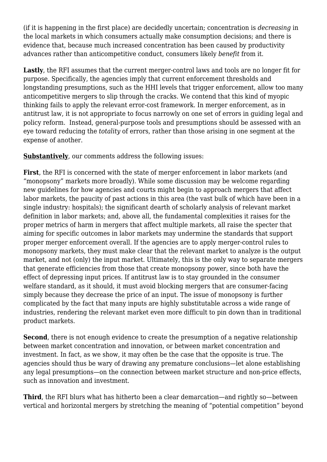(if it is happening in the first place) are decidedly uncertain; concentration is *decreasing* in the local markets in which consumers actually make consumption decisions; and there is evidence that, because much increased concentration has been caused by productivity advances rather than anticompetitive conduct, consumers likely *benefit* from it.

**Lastly**, the RFI assumes that the current merger-control laws and tools are no longer fit for purpose. Specifically, the agencies imply that current enforcement thresholds and longstanding presumptions, such as the HHI levels that trigger enforcement, allow too many anticompetitive mergers to slip through the cracks. We contend that this kind of myopic thinking fails to apply the relevant error-cost framework. In merger enforcement, as in antitrust law, it is not appropriate to focus narrowly on one set of errors in guiding legal and policy reform. Instead, general-purpose tools and presumptions should be assessed with an eye toward reducing the *totality* of errors, rather than those arising in one segment at the expense of another.

**Substantively**, our comments address the following issues:

**First**, the RFI is concerned with the state of merger enforcement in labor markets (and "monopsony" markets more broadly). While some discussion may be welcome regarding new guidelines for how agencies and courts might begin to approach mergers that affect labor markets, the paucity of past actions in this area (the vast bulk of which have been in a single industry: hospitals); the significant dearth of scholarly analysis of relevant market definition in labor markets; and, above all, the fundamental complexities it raises for the proper metrics of harm in mergers that affect multiple markets, all raise the specter that aiming for specific outcomes in labor markets may undermine the standards that support proper merger enforcement overall. If the agencies are to apply merger-control rules to monopsony markets, they must make clear that the relevant market to analyze is the output market, and not (only) the input market. Ultimately, this is the only way to separate mergers that generate efficiencies from those that create monopsony power, since both have the effect of depressing input prices. If antitrust law is to stay grounded in the consumer welfare standard, as it should, it must avoid blocking mergers that are consumer-facing simply because they decrease the price of an input. The issue of monopsony is further complicated by the fact that many inputs are highly substitutable across a wide range of industries, rendering the relevant market even more difficult to pin down than in traditional product markets.

**Second**, there is not enough evidence to create the presumption of a negative relationship between market concentration and innovation, or between market concentration and investment. In fact, as we show, it may often be the case that the opposite is true. The agencies should thus be wary of drawing any premature conclusions—let alone establishing any legal presumptions—on the connection between market structure and non-price effects, such as innovation and investment.

**Third**, the RFI blurs what has hitherto been a clear demarcation—and rightly so—between vertical and horizontal mergers by stretching the meaning of "potential competition" beyond